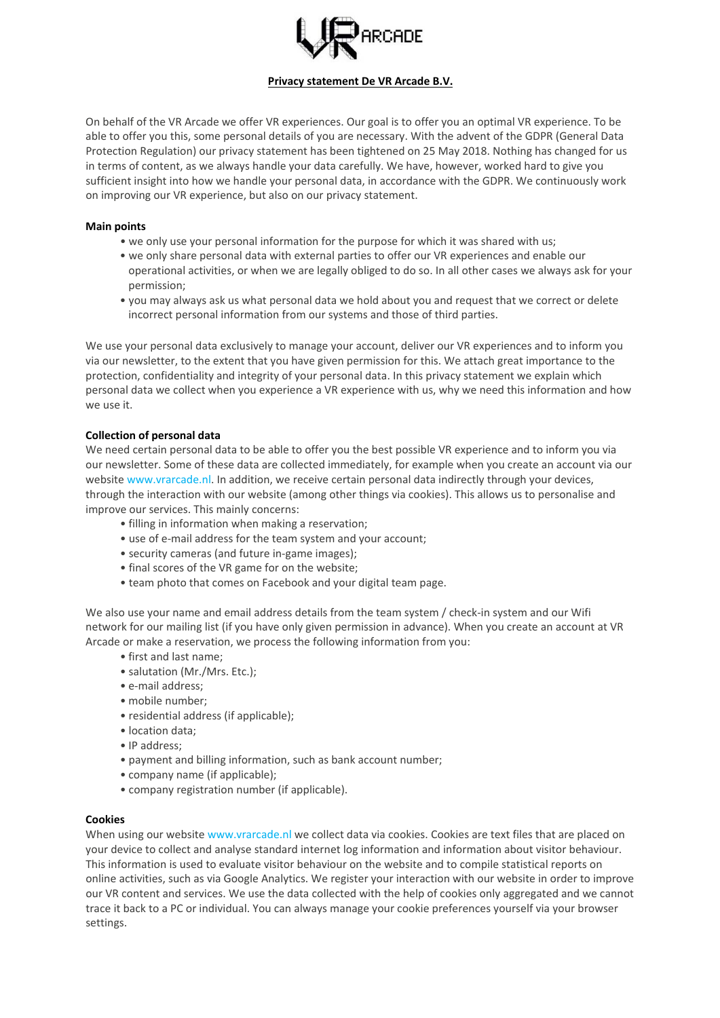

## **Privacy statement De VR Arcade B.V.**

On behalf of the VR Arcade we offer VR experiences. Our goal is to offer you an optimal VR experience. To be able to offer you this, some personal details of you are necessary. With the advent of the GDPR (General Data Protection Regulation) our privacy statement has been tightened on 25 May 2018. Nothing has changed for us in terms of content, as we always handle your data carefully. We have, however, worked hard to give you sufficient insight into how we handle your personal data, in accordance with the GDPR. We continuously work on improving our VR experience, but also on our privacy statement.

#### **Main points**

- we only use your personal information for the purpose for which it was shared with us;
- we only share personal data with external parties to offer our VR experiences and enable our operational activities, or when we are legally obliged to do so. In all other cases we always ask for your permission;
- you may always ask us what personal data we hold about you and request that we correct or delete incorrect personal information from our systems and those of third parties.

We use your personal data exclusively to manage your account, deliver our VR experiences and to inform you via our newsletter, to the extent that you have given permission for this. We attach great importance to the protection, confidentiality and integrity of your personal data. In this privacy statement we explain which personal data we collect when you experience a VR experience with us, why we need this information and how we use it.

## **Collection of personal data**

We need certain personal data to be able to offer you the best possible VR experience and to inform you via our newsletter. Some of these data are collected immediately, for example when you create an account via our website www.vrarcade.nl. In addition, we receive certain personal data indirectly through your devices, through the interaction with our website (among other things via cookies). This allows us to personalise and improve our services. This mainly concerns:

- filling in information when making a reservation;
- use of e-mail address for the team system and your account;
- security cameras (and future in-game images);
- final scores of the VR game for on the website;
- team photo that comes on Facebook and your digital team page.

We also use your name and email address details from the team system / check-in system and our Wifi network for our mailing list (if you have only given permission in advance). When you create an account at VR Arcade or make a reservation, we process the following information from you:

- first and last name;
- salutation (Mr./Mrs. Etc.);
- e-mail address;
- mobile number;
- residential address (if applicable);
- location data;
- IP address;
- payment and billing information, such as bank account number;
- company name (if applicable);
- company registration number (if applicable).

#### **Cookies**

When using our website www.vrarcade.nl we collect data via cookies. Cookies are text files that are placed on your device to collect and analyse standard internet log information and information about visitor behaviour. This information is used to evaluate visitor behaviour on the website and to compile statistical reports on online activities, such as via Google Analytics. We register your interaction with our website in order to improve our VR content and services. We use the data collected with the help of cookies only aggregated and we cannot trace it back to a PC or individual. You can always manage your cookie preferences yourself via your browser settings.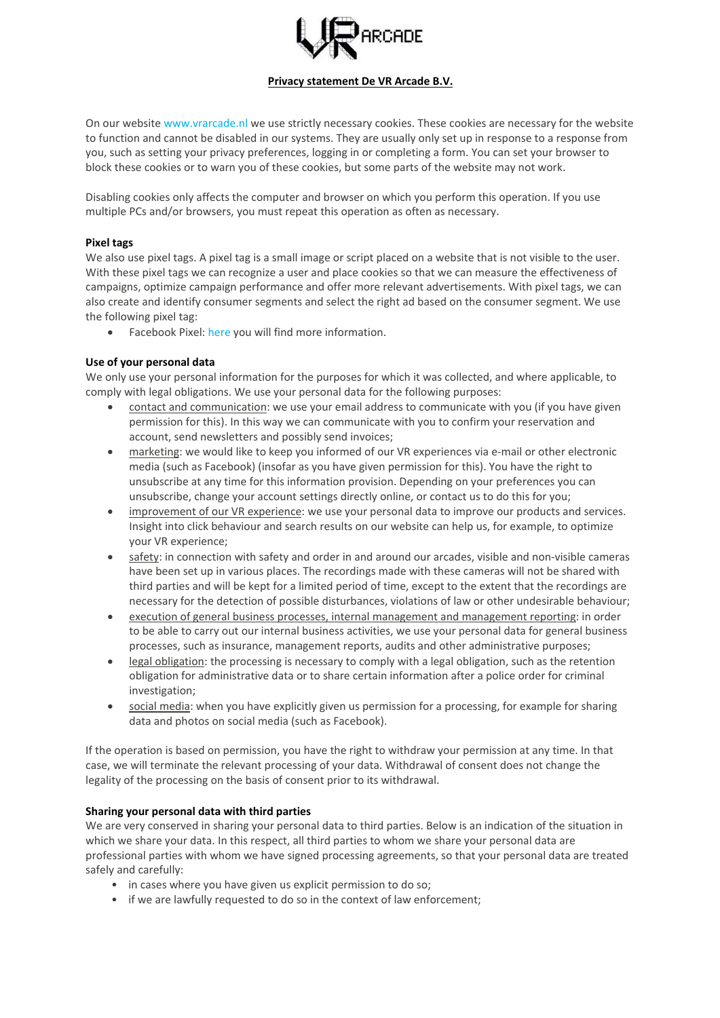

## **Privacy statement De VR Arcade B.V.**

On our website www.vrarcade.nl we use strictly necessary cookies. These cookies are necessary for the website to function and cannot be disabled in our systems. They are usually only set up in response to a response from you, such as setting your privacy preferences, logging in or completing a form. You can set your browser to block these cookies or to warn you of these cookies, but some parts of the website may not work.

Disabling cookies only affects the computer and browser on which you perform this operation. If you use multiple PCs and/or browsers, you must repeat this operation as often as necessary.

## **Pixel tags**

We also use pixel tags. A pixel tag is a small image or script placed on a website that is not visible to the user. With these pixel tags we can recognize a user and place cookies so that we can measure the effectiveness of campaigns, optimize campaign performance and offer more relevant advertisements. With pixel tags, we can also create and identify consumer segments and select the right ad based on the consumer segment. We use the following pixel tag:

Facebook Pixel: [here](https://www.facebook.com/business/help/651294705016616) you will find more information.

#### **Use of your personal data**

We only use your personal information for the purposes for which it was collected, and where applicable, to comply with legal obligations. We use your personal data for the following purposes:

- contact and communication: we use your email address to communicate with you (if you have given permission for this). In this way we can communicate with you to confirm your reservation and account, send newsletters and possibly send invoices;
- marketing: we would like to keep you informed of our VR experiences via e-mail or other electronic media (such as Facebook) (insofar as you have given permission for this). You have the right to unsubscribe at any time for this information provision. Depending on your preferences you can unsubscribe, change your account settings directly online, or contact us to do this for you;
- improvement of our VR experience: we use your personal data to improve our products and services. Insight into click behaviour and search results on our website can help us, for example, to optimize your VR experience;
- safety: in connection with safety and order in and around our arcades, visible and non-visible cameras have been set up in various places. The recordings made with these cameras will not be shared with third parties and will be kept for a limited period of time, except to the extent that the recordings are necessary for the detection of possible disturbances, violations of law or other undesirable behaviour;
- execution of general business processes, internal management and management reporting: in order to be able to carry out our internal business activities, we use your personal data for general business processes, such as insurance, management reports, audits and other administrative purposes;
- legal obligation: the processing is necessary to comply with a legal obligation, such as the retention obligation for administrative data or to share certain information after a police order for criminal investigation;
- social media: when you have explicitly given us permission for a processing, for example for sharing data and photos on social media (such as Facebook).

If the operation is based on permission, you have the right to withdraw your permission at any time. In that case, we will terminate the relevant processing of your data. Withdrawal of consent does not change the legality of the processing on the basis of consent prior to its withdrawal.

## **Sharing your personal data with third parties**

We are very conserved in sharing your personal data to third parties. Below is an indication of the situation in which we share your data. In this respect, all third parties to whom we share your personal data are professional parties with whom we have signed processing agreements, so that your personal data are treated safely and carefully:

- in cases where you have given us explicit permission to do so;
- if we are lawfully requested to do so in the context of law enforcement;